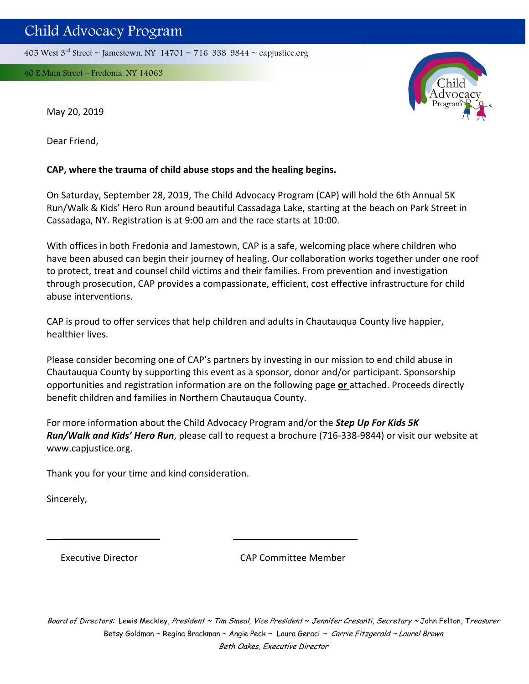405 West  $3<sup>rd</sup>$  Street ~ Jamestown, NY 14701 ~ 716-338-9844 ~ capjustice.org

40 E Main Street – Fredonia, NY 14063



May 20, 2019

Dear Friend,

## **CAP, where the trauma of child abuse stops and the healing begins.**

On Saturday, September 28, 2019, The Child Advocacy Program (CAP) will hold the 6th Annual 5K Run/Walk & Kids' Hero Run around beautiful Cassadaga Lake, starting at the beach on Park Street in Cassadaga, NY. Registration is at 9:00 am and the race starts at 10:00.

With offices in both Fredonia and Jamestown, CAP is a safe, welcoming place where children who have been abused can begin their journey of healing. Our collaboration works together under one roof to protect, treat and counsel child victims and their families. From prevention and investigation through prosecution, CAP provides a compassionate, efficient, cost effective infrastructure for child abuse interventions.

CAP is proud to offer services that help children and adults in Chautauqua County live happier, healthier lives.

Please consider becoming one of CAP's partners by investing in our mission to end child abuse in Chautauqua County by supporting this event as a sponsor, donor and/or participant. Sponsorship opportunities and registration information are on the following page **or** attached. Proceeds directly benefit children and families in Northern Chautauqua County.

For more information about the Child Advocacy Program and/or the *Step Up For Kids 5K Run/Walk and Kids' Hero Run*, please call to request a brochure (716‐338‐9844) or visit our website at www.capjustice.org.

 $\overline{\phantom{a}}$  , and the contract of the contract of the contract of the contract of the contract of the contract of the contract of the contract of the contract of the contract of the contract of the contract of the contrac

Thank you for your time and kind consideration.

Sincerely,

Executive Director CAP Committee Member

Board of Directors: Lewis Meckley, President ~ Tim Smeal, Vice President ~ Jennifer Cresanti, Secretary ~ John Felton, Treasurer Betsy Goldman ~ Regina Brackman ~ Angie Peck ~ Laura Geraci ~ Carrie Fitzgerald ~ Laurel Brown Beth Oakes, Executive Director